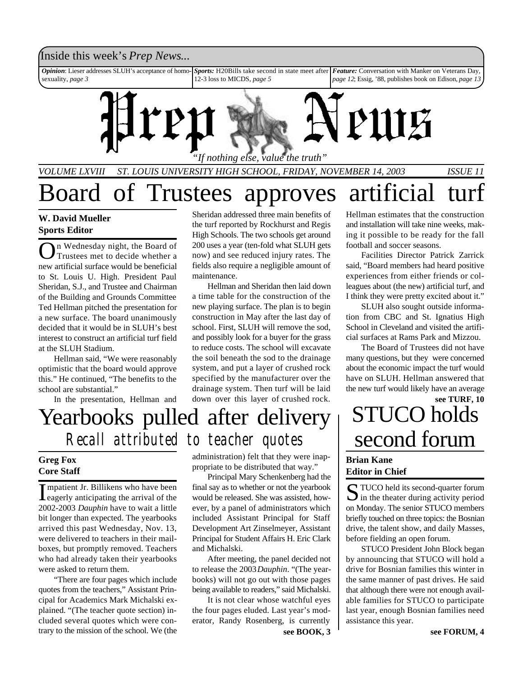## Inside this week's *Prep News*...

*Opinion*: Lieser addresses SLUH's acceptance of homosexuality, *page 3 Sports:* H20Bills take second in state meet after 12-3 loss to MICDS, *page 5 Feature:* Conversation with Manker on Veterans Day, *page 12*; Essig, '88, publishes book on Edison, *page 13*



*VOLUME LXVIII ST. LOUIS UNIVERSITY HIGH SCHOOL, FRIDAY, NOVEMBER 14, 2003 ISSUE 11*

Board of Trustees approves artificial tur

### **W. David Mueller Sports Editor**

**O** n Wednesday night, the Board of<br>Trustees met to decide whether a<br>new artificial surface would be beneficial n Wednesday night, the Board of Trustees met to decide whether a to St. Louis U. High. President Paul Sheridan, S.J., and Trustee and Chairman of the Building and Grounds Committee Ted Hellman pitched the presentation for a new surface. The board unanimously decided that it would be in SLUH's best interest to construct an artificial turf field at the SLUH Stadium.

Hellman said, "We were reasonably optimistic that the board would approve this." He continued, "The benefits to the school are substantial."

In the presentation, Hellman and

Sheridan addressed three main benefits of the turf reported by Rockhurst and Regis High Schools. The two schools get around 200 uses a year (ten-fold what SLUH gets now) and see reduced injury rates. The fields also require a negligible amount of maintenance.

Hellman and Sheridan then laid down a time table for the construction of the new playing surface. The plan is to begin construction in May after the last day of school. First, SLUH will remove the sod, and possibly look for a buyer for the grass to reduce costs. The school will excavate the soil beneath the sod to the drainage system, and put a layer of crushed rock specified by the manufacturer over the drainage system. Then turf will be laid down over this layer of crushed rock.

## Yearbooks pulled after delivery *Recall attributed to teacher quotes*

### **Greg Fox Core Staff**

Impatient Jr. Billikens who have been<br>eagerly anticipating the arrival of the mpatient Jr. Billikens who have been 2002-2003 *Dauphin* have to wait a little bit longer than expected. The yearbooks arrived this past Wednesday, Nov. 13, were delivered to teachers in their mailboxes, but promptly removed. Teachers who had already taken their yearbooks were asked to return them.

"There are four pages which include quotes from the teachers," Assistant Principal for Academics Mark Michalski explained. "(The teacher quote section) included several quotes which were contrary to the mission of the school. We (the

administration) felt that they were inappropriate to be distributed that way."

Principal Mary Schenkenberg had the final say as to whether or not the yearbook would be released. She was assisted, however, by a panel of administrators which included Assistant Principal for Staff Development Art Zinselmeyer, Assistant Principal for Student Affairs H. Eric Clark and Michalski.

After meeting, the panel decided not to release the 2003 *Dauphin*. "(The yearbooks) will not go out with those pages being available to readers," said Michalski.

It is not clear whose watchful eyes the four pages eluded. Last year's moderator, Randy Rosenberg, is currently

Hellman estimates that the construction and installation will take nine weeks, making it possible to be ready for the fall football and soccer seasons.

Facilities Director Patrick Zarrick said, "Board members had heard positive experiences from either friends or colleagues about (the new) artificial turf, and I think they were pretty excited about it."

SLUH also sought outside information from CBC and St. Ignatius High School in Cleveland and visited the artificial surfaces at Rams Park and Mizzou.

The Board of Trustees did not have many questions, but they were concerned about the economic impact the turf would have on SLUH. Hellman answered that the new turf would likely have an average

## STUCO holds second forum **see TURF, 10**

#### **Brian Kane Editor in Chief**

S TUCO held its second-quarter forum<br>in the theater during activity period TUCO held its second-quarter forum on Monday. The senior STUCO members briefly touched on three topics: the Bosnian drive, the talent show, and daily Masses, before fielding an open forum.

STUCO President John Block began by announcing that STUCO will hold a drive for Bosnian families this winter in the same manner of past drives. He said that although there were not enough available families for STUCO to participate last year, enough Bosnian families need assistance this year.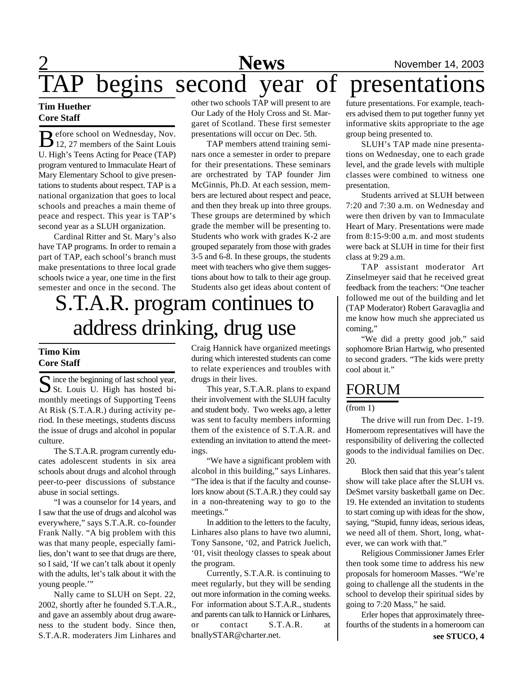## **2** News November 14, 2003 begins second year of presentations

### **Tim Huether Core Staff**

B efore school on Wednesday, Nov.<br>
12, 27 members of the Saint Louis efore school on Wednesday, Nov. U. High's Teens Acting for Peace (TAP) program ventured to Immaculate Heart of Mary Elementary School to give presentations to students about respect. TAP is a national organization that goes to local schools and preaches a main theme of peace and respect. This year is TAP's second year as a SLUH organization.

Cardinal Ritter and St. Mary's also have TAP programs. In order to remain a part of TAP, each school's branch must make presentations to three local grade schools twice a year, one time in the first semester and once in the second. The

other two schools TAP will present to are Our Lady of the Holy Cross and St. Margaret of Scotland. These first semester presentations will occur on Dec. 5th.

TAP members attend training seminars once a semester in order to prepare for their presentations. These seminars are orchestrated by TAP founder Jim McGinnis, Ph.D. At each session, members are lectured about respect and peace, and then they break up into three groups. These groups are determined by which grade the member will be presenting to. Students who work with grades K-2 are grouped separately from those with grades 3-5 and 6-8. In these groups, the students meet with teachers who give them suggestions about how to talk to their age group. Students also get ideas about content of

## S.T.A.R. program continues to address drinking, drug use

## **Timo Kim Core Staff**

Since the beginning of last school year,<br>St. Louis U. High has hosted bi- $\bigcup$  St. Louis U. High has hosted bimonthly meetings of Supporting Teens At Risk (S.T.A.R.) during activity period. In these meetings, students discuss the issue of drugs and alcohol in popular culture.

The S.T.A.R. program currently educates adolescent students in six area schools about drugs and alcohol through peer-to-peer discussions of substance abuse in social settings.

"I was a counselor for 14 years, and I saw that the use of drugs and alcohol was everywhere," says S.T.A.R. co-founder Frank Nally. "A big problem with this was that many people, especially families, don't want to see that drugs are there, so I said, 'If we can't talk about it openly with the adults, let's talk about it with the young people.'"

Nally came to SLUH on Sept. 22, 2002, shortly after he founded S.T.A.R., and gave an assembly about drug awareness to the student body. Since then, S.T.A.R. moderaters Jim Linhares and Craig Hannick have organized meetings during which interested students can come to relate experiences and troubles with drugs in their lives.

This year, S.T.A.R. plans to expand their involvement with the SLUH faculty and student body. Two weeks ago, a letter was sent to faculty members informing them of the existence of S.T.A.R. and extending an invitation to attend the meetings.

"We have a significant problem with alcohol in this building," says Linhares. "The idea is that if the faculty and counselors know about (S.T.A.R.) they could say in a non-threatening way to go to the meetings."

In addition to the letters to the faculty, Linhares also plans to have two alumni, Tony Sansone, '02, and Patrick Juelich, '01, visit theology classes to speak about the program.

Currently, S.T.A.R. is continuing to meet regularly, but they will be sending out more information in the coming weeks. For information about S.T.A.R., students and parents can talk to Hannick or Linhares, or contact S.T.A.R. at bnallySTAR@charter.net.

future presentations. For example, teachers advised them to put together funny yet informative skits appropriate to the age group being presented to.

SLUH's TAP made nine presentations on Wednesday, one to each grade level, and the grade levels with multiple classes were combined to witness one presentation.

Students arrived at SLUH between 7:20 and 7:30 a.m. on Wednesday and were then driven by van to Immaculate Heart of Mary. Presentations were made from 8:15-9:00 a.m. and most students were back at SLUH in time for their first class at 9:29 a.m.

TAP assistant moderator Art Zinselmeyer said that he received great feedback from the teachers: "One teacher followed me out of the building and let (TAP Moderator) Robert Garavaglia and me know how much she appreciated us coming,"

"We did a pretty good job," said sophomore Brian Hartwig, who presented to second graders. "The kids were pretty cool about it."

## FORUM

(from 1)

The drive will run from Dec. 1-19. Homeroom representatives will have the responsibility of delivering the collected goods to the individual families on Dec. 20.

Block then said that this year's talent show will take place after the SLUH vs. DeSmet varsity basketball game on Dec. 19. He extended an invitation to students to start coming up with ideas for the show, saying, "Stupid, funny ideas, serious ideas, we need all of them. Short, long, whatever, we can work with that."

Religious Commissioner James Erler then took some time to address his new proposals for homeroom Masses. "We're going to challenge all the students in the school to develop their spiritual sides by going to 7:20 Mass," he said.

Erler hopes that approximately threefourths of the students in a homeroom can **see STUCO, 4**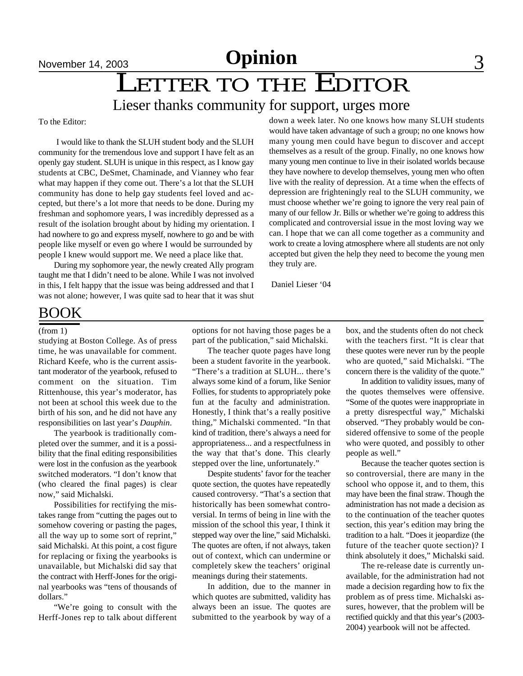## LETTER TO THE EDITOR

## Lieser thanks community for support, urges more

To the Editor:

 I would like to thank the SLUH student body and the SLUH community for the tremendous love and support I have felt as an openly gay student. SLUH is unique in this respect, as I know gay students at CBC, DeSmet, Chaminade, and Vianney who fear what may happen if they come out. There's a lot that the SLUH community has done to help gay students feel loved and accepted, but there's a lot more that needs to be done. During my freshman and sophomore years, I was incredibly depressed as a result of the isolation brought about by hiding my orientation. I had nowhere to go and express myself, nowhere to go and be with people like myself or even go where I would be surrounded by people I knew would support me. We need a place like that.

During my sophomore year, the newly created Ally program taught me that I didn't need to be alone. While I was not involved in this, I felt happy that the issue was being addressed and that I was not alone; however, I was quite sad to hear that it was shut

down a week later. No one knows how many SLUH students would have taken advantage of such a group; no one knows how many young men could have begun to discover and accept themselves as a result of the group. Finally, no one knows how many young men continue to live in their isolated worlds because they have nowhere to develop themselves, young men who often live with the reality of depression. At a time when the effects of depression are frighteningly real to the SLUH community, we must choose whether we're going to ignore the very real pain of many of our fellow Jr. Bills or whether we're going to address this complicated and controversial issue in the most loving way we can. I hope that we can all come together as a community and work to create a loving atmosphere where all students are not only accepted but given the help they need to become the young men they truly are.

Daniel Lieser '04

## BOOK

#### (from 1)

studying at Boston College. As of press time, he was unavailable for comment. Richard Keefe, who is the current assistant moderator of the yearbook, refused to comment on the situation. Tim Rittenhouse, this year's moderator, has not been at school this week due to the birth of his son, and he did not have any responsibilities on last year's *Dauphin*.

The yearbook is traditionally completed over the summer, and it is a possibility that the final editing responsibilities were lost in the confusion as the yearbook switched moderators. "I don't know that (who cleared the final pages) is clear now," said Michalski.

Possibilities for rectifying the mistakes range from "cutting the pages out to somehow covering or pasting the pages, all the way up to some sort of reprint," said Michalski. At this point, a cost figure for replacing or fixing the yearbooks is unavailable, but Michalski did say that the contract with Herff-Jones for the original yearbooks was "tens of thousands of dollars."

"We're going to consult with the Herff-Jones rep to talk about different

options for not having those pages be a part of the publication," said Michalski.

The teacher quote pages have long been a student favorite in the yearbook. "There's a tradition at SLUH... there's always some kind of a forum, like Senior Follies, for students to appropriately poke fun at the faculty and administration. Honestly, I think that's a really positive thing," Michalski commented. "In that kind of tradition, there's always a need for appropriateness... and a respectfulness in the way that that's done. This clearly stepped over the line, unfortunately."

Despite students' favor for the teacher quote section, the quotes have repeatedly caused controversy. "That's a section that historically has been somewhat controversial. In terms of being in line with the mission of the school this year, I think it stepped way over the line," said Michalski. The quotes are often, if not always, taken out of context, which can undermine or completely skew the teachers' original meanings during their statements.

In addition, due to the manner in which quotes are submitted, validity has always been an issue. The quotes are submitted to the yearbook by way of a box, and the students often do not check with the teachers first. "It is clear that these quotes were never run by the people who are quoted," said Michalski. "The concern there is the validity of the quote."

In addition to validity issues, many of the quotes themselves were offensive. "Some of the quotes were inappropriate in a pretty disrespectful way," Michalski observed. "They probably would be considered offensive to some of the people who were quoted, and possibly to other people as well."

Because the teacher quotes section is so controversial, there are many in the school who oppose it, and to them, this may have been the final straw. Though the administration has not made a decision as to the continuation of the teacher quotes section, this year's edition may bring the tradition to a halt. "Does it jeopardize (the future of the teacher quote section)? I think absolutely it does," Michalski said.

The re-release date is currently unavailable, for the administration had not made a decision regarding how to fix the problem as of press time. Michalski assures, however, that the problem will be rectified quickly and that this year's (2003- 2004) yearbook will not be affected.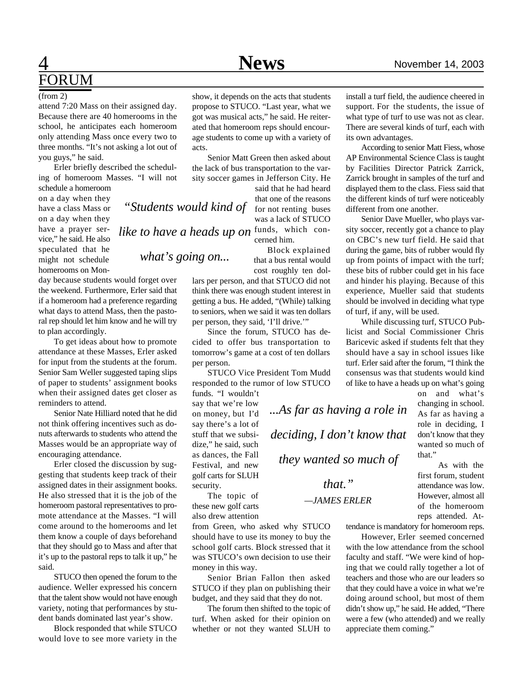## 4 **News** November 14, 2003 FORUM

#### (from 2)

attend 7:20 Mass on their assigned day. Because there are 40 homerooms in the school, he anticipates each homeroom only attending Mass once every two to three months. "It's not asking a lot out of you guys," he said.

Erler briefly described the scheduling of homeroom Masses. "I will not schedule a homeroom

on a day when they have a class Mass or on a day when they have a prayer service," he said. He also speculated that he might not schedule homerooms on Mon-

day because students would forget over the weekend. Furthermore, Erler said that if a homeroom had a preference regarding what days to attend Mass, then the pastoral rep should let him know and he will try to plan accordingly.

To get ideas about how to promote attendance at these Masses, Erler asked for input from the students at the forum. Senior Sam Weller suggested taping slips of paper to students' assignment books when their assigned dates get closer as reminders to attend.

Senior Nate Hilliard noted that he did not think offering incentives such as donuts afterwards to students who attend the Masses would be an appropriate way of encouraging attendance.

Erler closed the discussion by suggesting that students keep track of their assigned dates in their assignment books. He also stressed that it is the job of the homeroom pastoral representatives to promote attendance at the Masses. "I will come around to the homerooms and let them know a couple of days beforehand that they should go to Mass and after that it's up to the pastoral reps to talk it up," he said.

STUCO then opened the forum to the audience. Weller expressed his concern that the talent show would not have enough variety, noting that performances by student bands dominated last year's show.

Block responded that while STUCO would love to see more variety in the show, it depends on the acts that students propose to STUCO. "Last year, what we got was musical acts," he said. He reiterated that homeroom reps should encourage students to come up with a variety of acts.

Senior Matt Green then asked about the lack of bus transportation to the varsity soccer games in Jefferson City. He

*"Students would kind of*

*what's going on...*

said that he had heard that one of the reasons for not renting buses was a lack of STUCO

*like to have a heads up on* funds, which concerned him.

 Block explained that a bus rental would cost roughly ten dol-

lars per person, and that STUCO did not think there was enough student interest in getting a bus. He added, "(While) talking to seniors, when we said it was ten dollars per person, they said, 'I'll drive.'"

Since the forum, STUCO has decided to offer bus transportation to tomorrow's game at a cost of ten dollars per person.

STUCO Vice President Tom Mudd responded to the rumor of low STUCO funds. "I wouldn't

say that we're low on money, but I'd say there's a lot of stuff that we subsidize," he said, such as dances, the Fall Festival, and new golf carts for SLUH security.

The topic of these new golf carts also drew attention

from Green, who asked why STUCO should have to use its money to buy the school golf carts. Block stressed that it was STUCO's own decision to use their money in this way.

Senior Brian Fallon then asked STUCO if they plan on publishing their budget, and they said that they do not.

The forum then shifted to the topic of turf. When asked for their opinion on whether or not they wanted SLUH to

install a turf field, the audience cheered in support. For the students, the issue of what type of turf to use was not as clear. There are several kinds of turf, each with its own advantages.

According to senior Matt Fiess, whose AP Environmental Science Class is taught by Facilities Director Patrick Zarrick, Zarrick brought in samples of the turf and displayed them to the class. Fiess said that the different kinds of turf were noticeably different from one another.

Senior Dave Mueller, who plays varsity soccer, recently got a chance to play on CBC's new turf field. He said that during the game, bits of rubber would fly up from points of impact with the turf; these bits of rubber could get in his face and hinder his playing. Because of this experience, Mueller said that students should be involved in deciding what type of turf, if any, will be used.

While discussing turf, STUCO Publicist and Social Commissioner Chris Baricevic asked if students felt that they should have a say in school issues like turf. Erler said after the forum, "I think the consensus was that students would kind of like to have a heads up on what's going

> on and what's changing in school. As far as having a role in deciding, I don't know that they wanted so much of that."

> As with the first forum, student attendance was low. However, almost all of the homeroom reps attended. At-

tendance is mandatory for homeroom reps.

*—JAMES ERLER*

*that."*

*...As far as having a role in*

*deciding, I don't know that*

*they wanted so much of*

However, Erler seemed concerned with the low attendance from the school faculty and staff. "We were kind of hoping that we could rally together a lot of teachers and those who are our leaders so that they could have a voice in what we're doing around school, but most of them didn't show up," he said. He added, "There were a few (who attended) and we really appreciate them coming."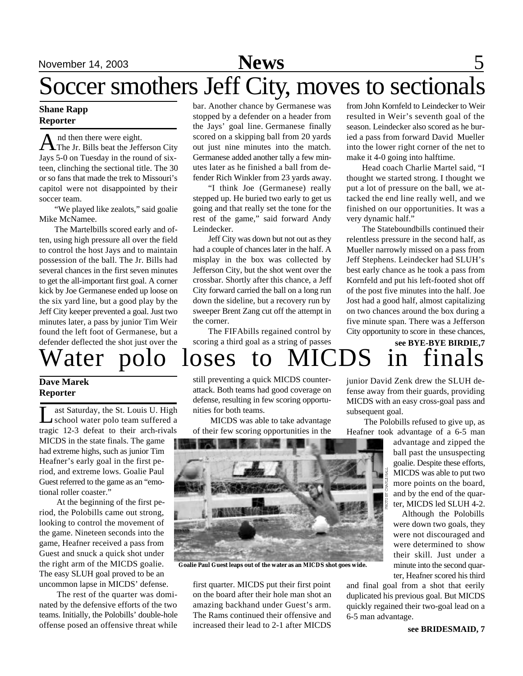## November 14, 2003 **News** 5

## Soccer smothers Jeff City, moves to sectionals

### **Shane Rapp Reporter**

A nd then there were eight.<br>The Jr. Bills beat the Jefferson City nd then there were eight. Jays 5-0 on Tuesday in the round of sixteen, clinching the sectional title. The 30 or so fans that made the trek to Missouri's capitol were not disappointed by their soccer team.

"We played like zealots," said goalie Mike McNamee.

The Martelbills scored early and often, using high pressure all over the field to control the host Jays and to maintain possession of the ball. The Jr. Bills had several chances in the first seven minutes to get the all-important first goal. A corner kick by Joe Germanese ended up loose on the six yard line, but a good play by the Jeff City keeper prevented a goal. Just two minutes later, a pass by junior Tim Weir found the left foot of Germanese, but a defender deflected the shot just over the

bar. Another chance by Germanese was stopped by a defender on a header from the Jays' goal line. Germanese finally scored on a skipping ball from 20 yards out just nine minutes into the match. Germanese added another tally a few minutes later as he finished a ball from defender Rich Winkler from 23 yards away.

"I think Joe (Germanese) really stepped up. He buried two early to get us going and that really set the tone for the rest of the game," said forward Andy Leindecker.

Jeff City was down but not out as they had a couple of chances later in the half. A misplay in the box was collected by Jefferson City, but the shot went over the crossbar. Shortly after this chance, a Jeff City forward carried the ball on a long run down the sideline, but a recovery run by sweeper Brent Zang cut off the attempt in the corner.

The FIFAbills regained control by scoring a third goal as a string of passes from John Kornfeld to Leindecker to Weir resulted in Weir's seventh goal of the season. Leindecker also scored as he buried a pass from forward David Mueller into the lower right corner of the net to make it 4-0 going into halftime.

Head coach Charlie Martel said, "I thought we started strong. I thought we put a lot of pressure on the ball, we attacked the end line really well, and we finished on our opportunities. It was a very dynamic half."

The Stateboundbills continued their relentless pressure in the second half, as Mueller narrowly missed on a pass from Jeff Stephens. Leindecker had SLUH's best early chance as he took a pass from Kornfeld and put his left-footed shot off of the post five minutes into the half. Joe Jost had a good half, almost capitalizing on two chances around the box during a five minute span. There was a Jefferson City opportunity to score in these chances,

## **see BYE-BYE BIRDIE,7** Water polo loses to

## **Dave Marek Reporter**

Let Saturday, the St. Louis U. High ast Saturday, the St. Louis U. High tragic 12-3 defeat to their arch-rivals MICDS in the state finals. The game had extreme highs, such as junior Tim Heafner's early goal in the first period, and extreme lows. Goalie Paul Guest referred to the game as an "emotional roller coaster."

 At the beginning of the first period, the Polobills came out strong, looking to control the movement of the game. Nineteen seconds into the game, Heafner received a pass from Guest and snuck a quick shot under the right arm of the MICDS goalie. The easy SLUH goal proved to be an uncommon lapse in MICDS' defense.

 The rest of the quarter was dominated by the defensive efforts of the two teams. Initially, the Polobills' double-hole offense posed an offensive threat while

still preventing a quick MICDS counterattack. Both teams had good coverage on defense, resulting in few scoring opportunities for both teams.

 MICDS was able to take advantage of their few scoring opportunities in the



**Goalie Paul Guest leaps out of the water as an MICDS shot goes wide.**

first quarter. MICDS put their first point on the board after their hole man shot an amazing backhand under Guest's arm. The Rams continued their offensive and increased their lead to 2-1 after MICDS

junior David Zenk drew the SLUH defense away from their guards, providing MICDS with an easy cross-goal pass and subsequent goal.

 The Polobills refused to give up, as Heafner took advantage of a 6-5 man

advantage and zipped the ball past the unsuspecting goalie. Despite these efforts, MICDS was able to put two more points on the board, and by the end of the quarter, MICDS led SLUH 4-2.

Although the Polobills were down two goals, they were not discouraged and were determined to show their skill. Just under a minute into the second quarter. Heafner scored his third

and final goal from a shot that eerily duplicated his previous goal. But MICDS quickly regained their two-goal lead on a 6-5 man advantage.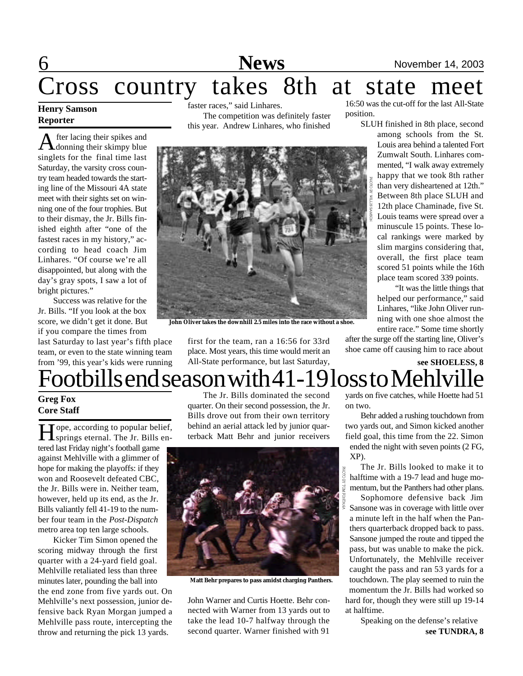## <u>6 News</u> November 14, 2003<br>Cross country takes 8th at state meet takes 8th at state meet

## **Henry Samson Reporter**

A fter lacing their spikes and<br>donning their skimpy blue fter lacing their spikes and singlets for the final time last Saturday, the varsity cross country team headed towards the starting line of the Missouri 4A state meet with their sights set on winning one of the four trophies. But to their dismay, the Jr. Bills finished eighth after "one of the fastest races in my history," according to head coach Jim Linhares. "Of course we're all disappointed, but along with the day's gray spots, I saw a lot of bright pictures."

Success was relative for the Jr. Bills. "If you look at the box score, we didn't get it done. But if you compare the times from

last Saturday to last year's fifth place team, or even to the state winning team from '99, this year's kids were running faster races," said Linhares. The competition was definitely faster this year. Andrew Linhares, who finished



**John Oliver takes the downhill 2.5 miles into the race without a shoe.**

first for the team, ran a 16:56 for 33rd place. Most years, this time would merit an All-State performance, but last Saturday,

16:50 was the cut-off for the last All-State position.

SLUH finished in 8th place, second

among schools from the St. Louis area behind a talented Fort Zumwalt South. Linhares commented, "I walk away extremely happy that we took 8th rather than very disheartened at 12th." Between 8th place SLUH and 12th place Chaminade, five St. Louis teams were spread over a minuscule 15 points. These local rankings were marked by slim margins considering that, overall, the first place team scored 51 points while the 16th place team scored 339 points.

 "It was the little things that helped our performance," said Linhares, "like John Oliver running with one shoe almost the entire race." Some time shortly

after the surge off the starting line, Oliver's shoe came off causing him to race about

## **see SHOELESS, 8** Footbills end season with 41-19 loss to Mehlvil

## **Greg Fox Core Staff**

Hope, according to popular belief,<br>springs eternal. The Jr. Bills en-Tope, according to popular belief, tered last Friday night's football game against Mehlville with a glimmer of hope for making the playoffs: if they won and Roosevelt defeated CBC, the Jr. Bills were in. Neither team, however, held up its end, as the Jr. Bills valiantly fell 41-19 to the number four team in the *Post-Dispatch* metro area top ten large schools.

Kicker Tim Simon opened the scoring midway through the first quarter with a 24-yard field goal. Mehlville retaliated less than three minutes later, pounding the ball into the end zone from five yards out. On Mehlville's next possession, junior defensive back Ryan Morgan jumped a Mehlville pass route, intercepting the throw and returning the pick 13 yards.

The Jr. Bills dominated the second quarter. On their second possession, the Jr. Bills drove out from their own territory behind an aerial attack led by junior quarterback Matt Behr and junior receivers



**Matt Behr prepares to pass amidst charging Panthers.**

John Warner and Curtis Hoette. Behr connected with Warner from 13 yards out to take the lead 10-7 halfway through the second quarter. Warner finished with 91

yards on five catches, while Hoette had 51 on two.

Behr added a rushing touchdown from two yards out, and Simon kicked another field goal, this time from the 22. Simon ended the night with seven points (2 FG, XP).

The Jr. Bills looked to make it to halftime with a 19-7 lead and huge momentum, but the Panthers had other plans.

Sophomore defensive back Jim Sansone was in coverage with little over a minute left in the half when the Panthers quarterback dropped back to pass. Sansone jumped the route and tipped the pass, but was unable to make the pick. Unfortunately, the Mehlville receiver caught the pass and ran 53 yards for a touchdown. The play seemed to ruin the momentum the Jr. Bills had worked so hard for, though they were still up 19-14 at halftime.

> **see TUNDRA, 8** Speaking on the defense's relative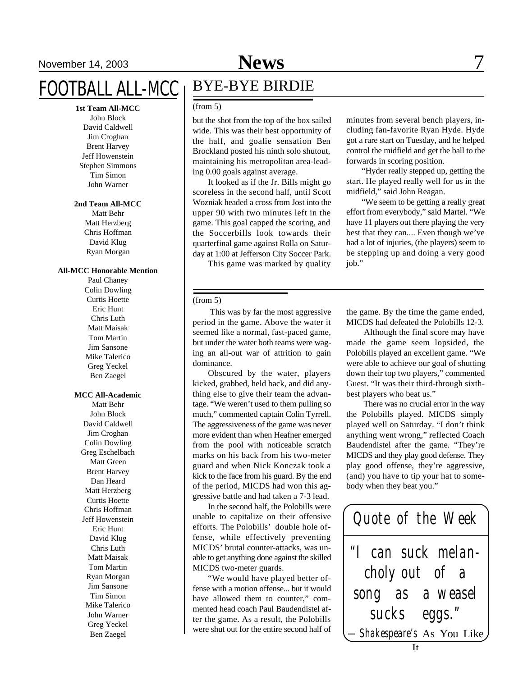## November 14, 2003 **News** 7

**1st Team All-MCC**

John Block David Caldwell Jim Croghan Brent Harvey Jeff Howenstein Stephen Simmons Tim Simon John Warner

#### **2nd Team All-MCC**

Matt Behr Matt Herzberg Chris Hoffman David Klug Ryan Morgan

#### **All-MCC Honorable Mention**

Paul Chaney Colin Dowling Curtis Hoette Eric Hunt Chris Luth Matt Maisak Tom Martin Jim Sansone Mike Talerico Greg Yeckel Ben Zaegel

#### **MCC All-Academic**

Matt Behr John Block David Caldwell Jim Croghan Colin Dowling Greg Eschelbach Matt Green Brent Harvey Dan Heard Matt Herzberg Curtis Hoette Chris Hoffman Jeff Howenstein Eric Hunt David Klug Chris Luth Matt Maisak Tom Martin Ryan Morgan Jim Sansone Tim Simon Mike Talerico John Warner Greg Yeckel Ben Zaegel

## BYE-BYE BIRDIE

#### (from 5)

but the shot from the top of the box sailed wide. This was their best opportunity of the half, and goalie sensation Ben Brockland posted his ninth solo shutout, maintaining his metropolitan area-leading 0.00 goals against average.

It looked as if the Jr. Bills might go scoreless in the second half, until Scott Wozniak headed a cross from Jost into the upper 90 with two minutes left in the game. This goal capped the scoring, and the Soccerbills look towards their quarterfinal game against Rolla on Saturday at 1:00 at Jefferson City Soccer Park.

This game was marked by quality

#### (from 5)

 This was by far the most aggressive period in the game. Above the water it seemed like a normal, fast-paced game, but under the water both teams were waging an all-out war of attrition to gain dominance.

Obscured by the water, players kicked, grabbed, held back, and did anything else to give their team the advantage. "We weren't used to them pulling so much," commented captain Colin Tyrrell. The aggressiveness of the game was never more evident than when Heafner emerged from the pool with noticeable scratch marks on his back from his two-meter guard and when Nick Konczak took a kick to the face from his guard. By the end of the period, MICDS had won this aggressive battle and had taken a 7-3 lead.

In the second half, the Polobills were unable to capitalize on their offensive efforts. The Polobills' double hole offense, while effectively preventing MICDS' brutal counter-attacks, was unable to get anything done against the skilled MICDS two-meter guards.

"We would have played better offense with a motion offense... but it would have allowed them to counter," commented head coach Paul Baudendistel after the game. As a result, the Polobills were shut out for the entire second half of

minutes from several bench players, including fan-favorite Ryan Hyde. Hyde got a rare start on Tuesday, and he helped control the midfield and get the ball to the forwards in scoring position.

"Hyder really stepped up, getting the start. He played really well for us in the midfield," said John Reagan.

"We seem to be getting a really great effort from everybody," said Martel. "We have 11 players out there playing the very best that they can.... Even though we've had a lot of injuries, (the players) seem to be stepping up and doing a very good job."

the game. By the time the game ended, MICDS had defeated the Polobills 12-3.

 Although the final score may have made the game seem lopsided, the Polobills played an excellent game. "We were able to achieve our goal of shutting down their top two players," commented Guest. "It was their third-through sixthbest players who beat us."

 There was no crucial error in the way the Polobills played. MICDS simply played well on Saturday. "I don't think anything went wrong," reflected Coach Baudendistel after the game. "They're MICDS and they play good defense. They play good offense, they're aggressive, (and) you have to tip your hat to somebody when they beat you."

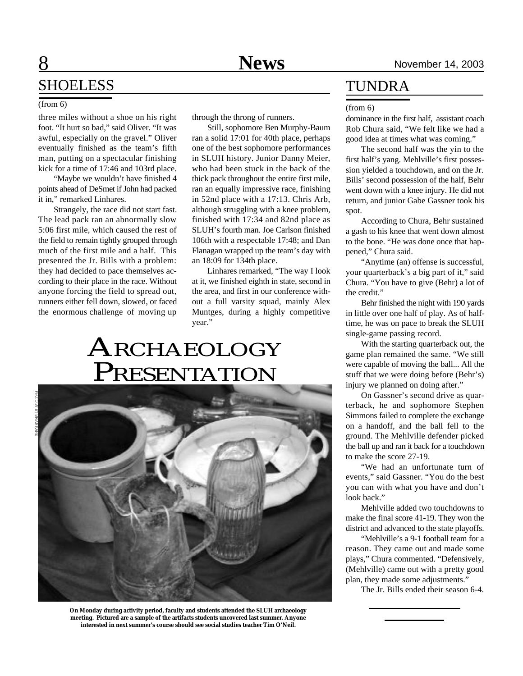## SHOELESS

#### (from 6)

three miles without a shoe on his right foot. "It hurt so bad," said Oliver. "It was awful, especially on the gravel." Oliver eventually finished as the team's fifth man, putting on a spectacular finishing kick for a time of 17:46 and 103rd place.

"Maybe we wouldn't have finished 4 points ahead of DeSmet if John had packed it in," remarked Linhares.

Strangely, the race did not start fast. The lead pack ran an abnormally slow 5:06 first mile, which caused the rest of the field to remain tightly grouped through much of the first mile and a half. This presented the Jr. Bills with a problem: they had decided to pace themselves according to their place in the race. Without anyone forcing the field to spread out, runners either fell down, slowed, or faced the enormous challenge of moving up

through the throng of runners.

Still, sophomore Ben Murphy-Baum ran a solid 17:01 for 40th place, perhaps one of the best sophomore performances in SLUH history. Junior Danny Meier, who had been stuck in the back of the thick pack throughout the entire first mile, ran an equally impressive race, finishing in 52nd place with a 17:13. Chris Arb, although struggling with a knee problem, finished with 17:34 and 82nd place as SLUH's fourth man. Joe Carlson finished 106th with a respectable 17:48; and Dan Flanagan wrapped up the team's day with an 18:09 for 134th place.

Linhares remarked, "The way I look at it, we finished eighth in state, second in the area, and first in our conference without a full varsity squad, mainly Alex Muntges, during a highly competitive year."

## ARCHAEOLOGY PRESENTATION



**On Monday during activity period, faculty and students attended the SLUH archaeology meeting. Pictured are a sample of the artifacts students uncovered last summer. Anyone interested in next summer's course should see social studies teacher Tim O'Neil.**

## TUNDRA

#### (from 6)

dominance in the first half, assistant coach Rob Chura said, "We felt like we had a good idea at times what was coming."

The second half was the yin to the first half's yang. Mehlville's first possession yielded a touchdown, and on the Jr. Bills' second possession of the half, Behr went down with a knee injury. He did not return, and junior Gabe Gassner took his spot.

According to Chura, Behr sustained a gash to his knee that went down almost to the bone. "He was done once that happened," Chura said.

"Anytime (an) offense is successful, your quarterback's a big part of it," said Chura. "You have to give (Behr) a lot of the credit."

Behr finished the night with 190 yards in little over one half of play. As of halftime, he was on pace to break the SLUH single-game passing record.

With the starting quarterback out, the game plan remained the same. "We still were capable of moving the ball... All the stuff that we were doing before (Behr's) injury we planned on doing after."

On Gassner's second drive as quarterback, he and sophomore Stephen Simmons failed to complete the exchange on a handoff, and the ball fell to the ground. The Mehlville defender picked the ball up and ran it back for a touchdown to make the score 27-19.

"We had an unfortunate turn of events," said Gassner. "You do the best you can with what you have and don't look back."

Mehlville added two touchdowns to make the final score 41-19. They won the district and advanced to the state playoffs.

"Mehlville's a 9-1 football team for a reason. They came out and made some plays," Chura commented. "Defensively, (Mehlville) came out with a pretty good plan, they made some adjustments."

The Jr. Bills ended their season 6-4.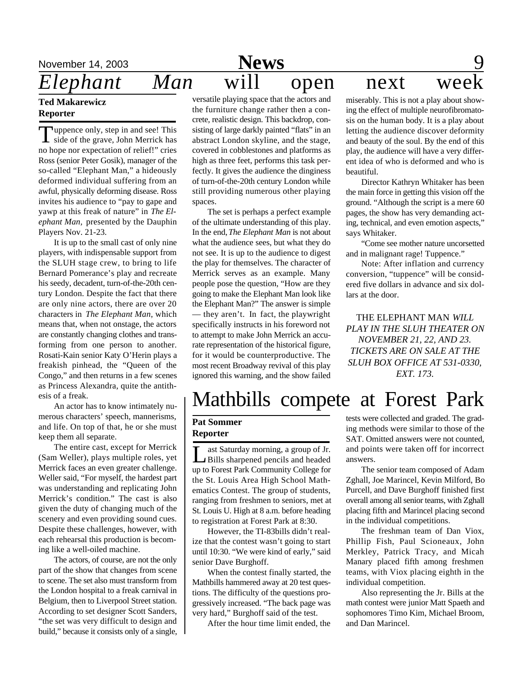## **Ted Makarewicz Reporter**

Tuppence only, step in and see! This<br>side of the grave, John Merrick has uppence only, step in and see! This no hope nor expectation of relief!" cries Ross (senior Peter Gosik), manager of the so-called "Elephant Man," a hideously deformed individual suffering from an awful, physically deforming disease. Ross invites his audience to "pay to gape and yawp at this freak of nature" in *The Elephant Man,* presented by the Dauphin Players Nov. 21-23.

It is up to the small cast of only nine players, with indispensable support from the SLUH stage crew, to bring to life Bernard Pomerance's play and recreate his seedy, decadent, turn-of-the-20th century London. Despite the fact that there are only nine actors, there are over 20 characters in *The Elephant Man*, which means that, when not onstage, the actors are constantly changing clothes and transforming from one person to another. Rosati-Kain senior Katy O'Herin plays a freakish pinhead, the "Queen of the Congo," and then returns in a few scenes as Princess Alexandra, quite the antithesis of a freak.

An actor has to know intimately numerous characters' speech, mannerisms, and life. On top of that, he or she must keep them all separate.

The entire cast, except for Merrick (Sam Weller), plays multiple roles, yet Merrick faces an even greater challenge. Weller said, "For myself, the hardest part was understanding and replicating John Merrick's condition." The cast is also given the duty of changing much of the scenery and even providing sound cues. Despite these challenges, however, with each rehearsal this production is becoming like a well-oiled machine.

The actors, of course, are not the only part of the show that changes from scene to scene. The set also must transform from the London hospital to a freak carnival in Belgium, then to Liverpool Street station. According to set designer Scott Sanders, "the set was very difficult to design and build," because it consists only of a single,

## November 14, 2003 **News** 9 *Elephant Man* will open next

versatile playing space that the actors and the furniture change rather then a concrete, realistic design. This backdrop, consisting of large darkly painted "flats" in an abstract London skyline, and the stage, covered in cobblestones and platforms as high as three feet, performs this task perfectly. It gives the audience the dinginess of turn-of-the-20th century London while still providing numerous other playing spaces.

The set is perhaps a perfect example of the ultimate understanding of this play. In the end, *The Elephant Man* is not about what the audience sees, but what they do not see. It is up to the audience to digest the play for themselves. The character of Merrick serves as an example. Many people pose the question, "How are they going to make the Elephant Man look like the Elephant Man?" The answer is simple — they aren't. In fact, the playwright specifically instructs in his foreword not to attempt to make John Merrick an accurate representation of the historical figure, for it would be counterproductive. The most recent Broadway revival of this play ignored this warning, and the show failed

miserably. This is not a play about showing the effect of multiple neurofibromatosis on the human body. It is a play about letting the audience discover deformity and beauty of the soul. By the end of this play, the audience will have a very different idea of who is deformed and who is beautiful.

Director Kathryn Whitaker has been the main force in getting this vision off the ground. "Although the script is a mere 60 pages, the show has very demanding acting, technical, and even emotion aspects," says Whitaker.

"Come see mother nature uncorsetted and in malignant rage! Tuppence."

Note: After inflation and currency conversion, "tuppence" will be considered five dollars in advance and six dollars at the door.

THE ELEPHANT MAN *WILL PLAY IN THE SLUH THEATER ON NOVEMBER 21, 22, AND 23. TICKETS ARE ON SALE AT THE SLUH BOX OFFICE AT 531-0330, EXT. 173.*

## Mathbills compete at Forest Park

### **Pat Sommer Reporter**

Let Saturday morning, a group of Jr.<br>Bills sharpened pencils and headed<br>up to Forest Park Community College for ast Saturday morning, a group of Jr. Bills sharpened pencils and headed the St. Louis Area High School Mathematics Contest. The group of students, ranging from freshmen to seniors, met at St. Louis U. High at 8 a.m. before heading to registration at Forest Park at 8:30.

However, the TI-83bills didn't realize that the contest wasn't going to start until 10:30. "We were kind of early," said senior Dave Burghoff.

When the contest finally started, the Mathbills hammered away at 20 test questions. The difficulty of the questions progressively increased. "The back page was very hard," Burghoff said of the test.

After the hour time limit ended, the

tests were collected and graded. The grading methods were similar to those of the SAT. Omitted answers were not counted, and points were taken off for incorrect answers.

The senior team composed of Adam Zghall, Joe Marincel, Kevin Milford, Bo Purcell, and Dave Burghoff finished first overall among all senior teams, with Zghall placing fifth and Marincel placing second in the individual competitions.

The freshman team of Dan Viox, Phillip Fish, Paul Scioneaux, John Merkley, Patrick Tracy, and Micah Manary placed fifth among freshmen teams, with Viox placing eighth in the individual competition.

Also representing the Jr. Bills at the math contest were junior Matt Spaeth and sophomores Timo Kim, Michael Broom, and Dan Marincel.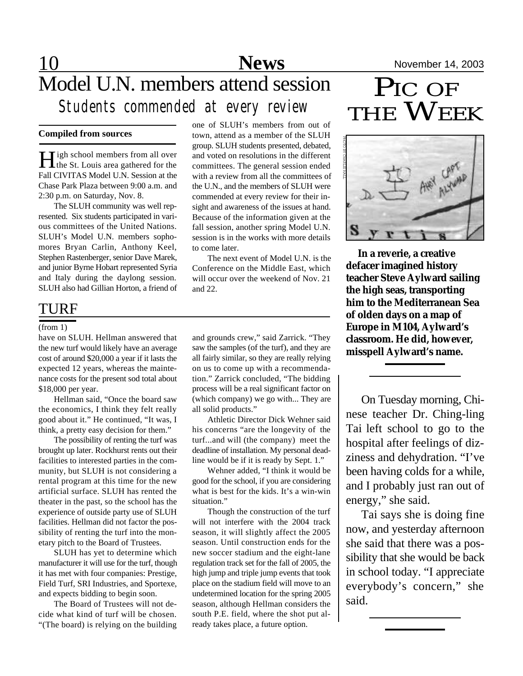## 10 **News** November 14, 2003 Model U.N. members attend session *Students commended at every review*

### **Compiled from sources**

**H** igh school members from all over **T**igh school members from all over Fall CIVITAS Model U.N. Session at the Chase Park Plaza between 9:00 a.m. and 2:30 p.m. on Saturday, Nov. 8.

The SLUH community was well represented. Six students participated in various committees of the United Nations. SLUH's Model U.N. members sophomores Bryan Carlin, Anthony Keel, Stephen Rastenberger, senior Dave Marek, and junior Byrne Hobart represented Syria and Italy during the daylong session. SLUH also had Gillian Horton, a friend of

## TURF

#### (from 1)

have on SLUH. Hellman answered that the new turf would likely have an average cost of around \$20,000 a year if it lasts the expected 12 years, whereas the maintenance costs for the present sod total about \$18,000 per year.

Hellman said, "Once the board saw the economics, I think they felt really good about it." He continued, "It was, I think, a pretty easy decision for them."

The possibility of renting the turf was brought up later. Rockhurst rents out their facilities to interested parties in the community, but SLUH is not considering a rental program at this time for the new artificial surface. SLUH has rented the theater in the past, so the school has the experience of outside party use of SLUH facilities. Hellman did not factor the possibility of renting the turf into the monetary pitch to the Board of Trustees.

SLUH has yet to determine which manufacturer it will use for the turf, though it has met with four companies: Prestige, Field Turf, SRI Industries, and Sportexe, and expects bidding to begin soon.

The Board of Trustees will not decide what kind of turf will be chosen. "(The board) is relying on the building one of SLUH's members from out of town, attend as a member of the SLUH group. SLUH students presented, debated, and voted on resolutions in the different committees. The general session ended with a review from all the committees of the U.N., and the members of SLUH were commended at every review for their insight and awareness of the issues at hand. Because of the information given at the fall session, another spring Model U.N. session is in the works with more details to come later.

The next event of Model U.N. is the Conference on the Middle East, which will occur over the weekend of Nov. 21 and 22.

and grounds crew," said Zarrick. "They saw the samples (of the turf), and they are all fairly similar, so they are really relying on us to come up with a recommendation." Zarrick concluded, "The bidding process will be a real significant factor on (which company) we go with... They are all solid products."

Athletic Director Dick Wehner said his concerns "are the longevity of the turf...and will (the company) meet the deadline of installation. My personal deadline would be if it is ready by Sept. 1."

Wehner added, "I think it would be good for the school, if you are considering what is best for the kids. It's a win-win situation."

Though the construction of the turf will not interfere with the 2004 track season, it will slightly affect the 2005 season. Until construction ends for the new soccer stadium and the eight-lane regulation track set for the fall of 2005, the high jump and triple jump events that took place on the stadium field will move to an undetermined location for the spring 2005 season, although Hellman considers the south P.E. field, where the shot put already takes place, a future option.

## PIC OF THE **WEEK**



 **In a reverie, a creative defacer imagined history teacher Steve Aylward sailing the high seas, transporting him to the Mediterranean Sea of olden days on a map of Europe in M104, Aylward's classroom. He did, however, misspell Aylward's name.**

On Tuesday morning, Chinese teacher Dr. Ching-ling Tai left school to go to the hospital after feelings of dizziness and dehydration. "I've been having colds for a while, and I probably just ran out of energy," she said.

Tai says she is doing fine now, and yesterday afternoon she said that there was a possibility that she would be back in school today. "I appreciate everybody's concern," she said.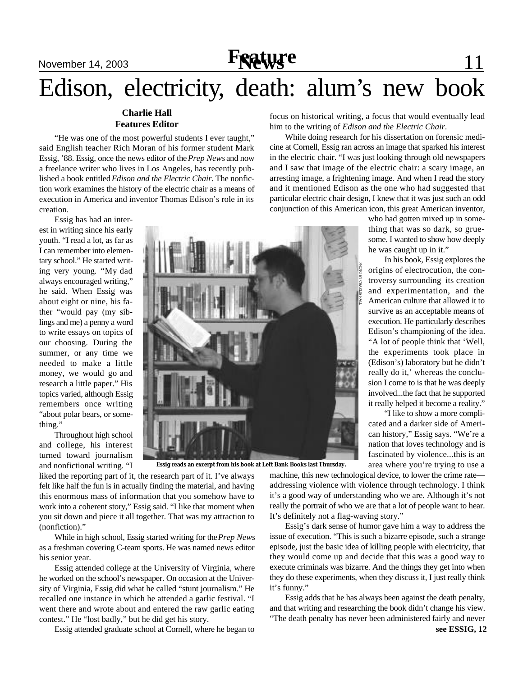## November 14, 2003 **Frature** 11

## Edison, electricity, death: alum's new book

### **Charlie Hall Features Editor**

"He was one of the most powerful students I ever taught," said English teacher Rich Moran of his former student Mark Essig, '88. Essig, once the news editor of the *Prep News* and now a freelance writer who lives in Los Angeles, has recently published a book entitled *Edison and the Electric Chair*. The nonfiction work examines the history of the electric chair as a means of execution in America and inventor Thomas Edison's role in its creation.

Essig has had an interest in writing since his early youth. "I read a lot, as far as I can remember into elementary school." He started writing very young. "My dad always encouraged writing," he said. When Essig was about eight or nine, his father "would pay (my siblings and me) a penny a word to write essays on topics of our choosing. During the summer, or any time we needed to make a little money, we would go and research a little paper." His topics varied, although Essig remembers once writing "about polar bears, or something."

Throughout high school and college, his interest turned toward journalism and nonfictional writing. "I



**Essig reads an excerpt from his book at Left Bank Books last Thursday.**

liked the reporting part of it, the research part of it. I've always felt like half the fun is in actually finding the material, and having this enormous mass of information that you somehow have to work into a coherent story," Essig said. "I like that moment when you sit down and piece it all together. That was my attraction to (nonfiction)."

While in high school, Essig started writing for the *Prep News* as a freshman covering C-team sports. He was named news editor his senior year.

Essig attended college at the University of Virginia, where he worked on the school's newspaper. On occasion at the University of Virginia, Essig did what he called "stunt journalism." He recalled one instance in which he attended a garlic festival. "I went there and wrote about and entered the raw garlic eating contest." He "lost badly," but he did get his story.

Essig attended graduate school at Cornell, where he began to

focus on historical writing, a focus that would eventually lead him to the writing of *Edison and the Electric Chair*.

While doing research for his dissertation on forensic medicine at Cornell, Essig ran across an image that sparked his interest in the electric chair. "I was just looking through old newspapers and I saw that image of the electric chair: a scary image, an arresting image, a frightening image. And when I read the story and it mentioned Edison as the one who had suggested that particular electric chair design, I knew that it was just such an odd conjunction of this American icon, this great American inventor,

> who had gotten mixed up in something that was so dark, so gruesome. I wanted to show how deeply he was caught up in it."

> In his book, Essig explores the origins of electrocution, the controversy surrounding its creation and experimentation, and the American culture that allowed it to survive as an acceptable means of execution. He particularly describes Edison's championing of the idea. "A lot of people think that 'Well, the experiments took place in (Edison's) laboratory but he didn't really do it,' whereas the conclusion I come to is that he was deeply involved...the fact that he supported it really helped it become a reality."

> "I like to show a more complicated and a darker side of American history," Essig says. "We're a nation that loves technology and is fascinated by violence...this is an area where you're trying to use a

machine, this new technological device, to lower the crime rate addressing violence with violence through technology. I think it's a good way of understanding who we are. Although it's not really the portrait of who we are that a lot of people want to hear. It's definitely not a flag-waving story."

Essig's dark sense of humor gave him a way to address the issue of execution. "This is such a bizarre episode, such a strange episode, just the basic idea of killing people with electricity, that they would come up and decide that this was a good way to execute criminals was bizarre. And the things they get into when they do these experiments, when they discuss it, I just really think it's funny."

Essig adds that he has always been against the death penalty, and that writing and researching the book didn't change his view. "The death penalty has never been administered fairly and never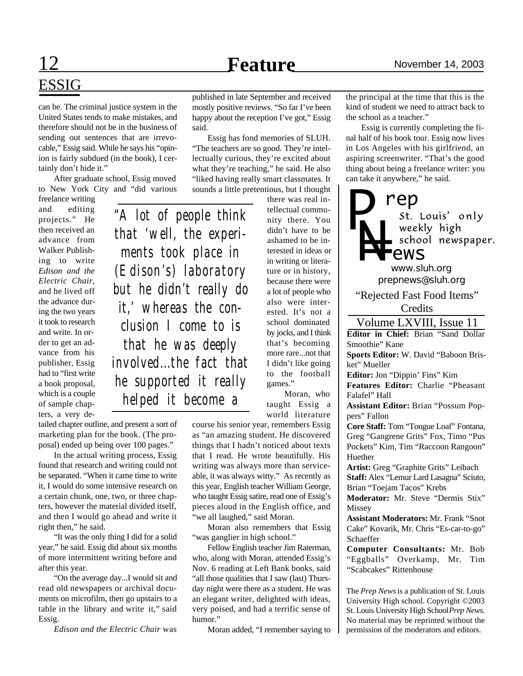## 12 **Feature** November 14, 2003

# ESSIG

can be. The criminal justice system in the United States tends to make mistakes, and therefore should not be in the business of sending out sentences that are irrevocable," Essig said. While he says his "opinion is fairly subdued (in the book), I certainly don't hide it."

After graduate school, Essig moved to New York City and "did various

freelance writing and editing projects." He then received an advance from Walker Publishing to write *Edison and the Electric Chair*, and he lived off the advance during the two years it took to research and write. In order to get an advance from his publisher, Essig had to "first write a book proposal, which is a couple of sample chapters, a very de-

*"A lot of people think that 'well, the experiments took place in (Edison's) laboratory but he didn't really do it,' whereas the conclusion I come to is that he was deeply involved...the fact that he supported it really helped it become a*

tailed chapter outline, and present a sort of marketing plan for the book. (The proposal) ended up being over 100 pages."

In the actual writing process, Essig found that research and writing could not be separated. "When it came time to write it, I would do some intensive research on a certain chunk, one, two, or three chapters, however the material divided itself, and then I would go ahead and write it right then," he said.

"It was the only thing I did for a solid year," he said. Essig did about six months of more intermittent writing before and after this year.

"On the average day...I would sit and read old newspapers or archival documents on microfilm, then go upstairs to a table in the library and write it," said Essig.

*Edison and the Electric Chair* was

published in late September and received mostly positive reviews. "So far I've been happy about the reception I've got," Essig said.

Essig has fond memories of SLUH. "The teachers are so good. They're intellectually curious, they're excited about what they're teaching," he said. He also "liked having really smart classmates. It sounds a little pretentious, but I thought

there was real intellectual community there. You didn't have to be ashamed to be interested in ideas or in writing or literature or in history, because there were a lot of people who also were interested. It's not a school dominated by jocks, and I think that's becoming more rare...not that I didn't like going to the football games."

Moran, who taught Essig a world literature

course his senior year, remembers Essig as "an amazing student. He discovered things that I hadn't noticed about texts that I read. He wrote beautifully. His writing was always more than serviceable, it was always witty." As recently as this year, English teacher William George, who taught Essig satire, read one of Essig's pieces aloud in the English office, and "we all laughed," said Moran.

Moran also remembers that Essig "was ganglier in high school."

Fellow English teacher Jim Raterman, who, along with Moran, attended Essig's Nov. 6 reading at Left Bank books, said "all those qualities that I saw (last) Thursday night were there as a student. He was an elegant writer, delighted with ideas, very poised, and had a terrific sense of humor."

Moran added, "I remember saying to

the principal at the time that this is the kind of student we need to attract back to the school as a teacher."

Essig is currently completing the final half of his book tour. Essig now lives in Los Angeles with his girlfriend, an aspiring screenwriter. "That's the good thing about being a freelance writer: you can take it anywhere," he said.

**rep**<br>*st. Louis' only P* weekly *nig*..<br>School newspaper. weekly high **L**ews *www.sluh.org prepnews@sluh.org* "Rejected Fast Food Items" Credits Volume LXVIII, Issue 11

**Editor in Chief:** Brian "Sand Dollar Smoothie" Kane

**Sports Editor:** W. David "Baboon Brisket" Mueller

**Editor:** Jon "Dippin' Fins" Kim

**Features Editor:** Charlie "Pheasant Falafel" Hall

**Assistant Editor:** Brian "Possum Poppers" Fallon

**Core Staff:** Tom "Tongue Loaf" Fontana, Greg "Gangrene Grits" Fox, Timo "Pus Pockets" Kim, Tim "Raccoon Rangoon" Huether

**Artist:** Greg "Graphite Grits" Leibach **Staff:** Alex "Lemur Lard Lasagna" Sciuto, Brian "Toejam Tacos" Krebs

**Moderator:** Mr. Steve "Dermis Stix" Missey

**Assistant Moderators:** Mr. Frank "Snot Cake" Kovarik, Mr. Chris "Es-car-to-go" Schaeffer

**Computer Consultants:** Mr. Bob "Eggballs" Overkamp, Mr. Tim "Scabcakes" Rittenhouse

The *Prep News* is a publication of St. Louis University High school. Copyright ©2003 St. Louis University High School *Prep News.* No material may be reprinted without the permission of the moderators and editors.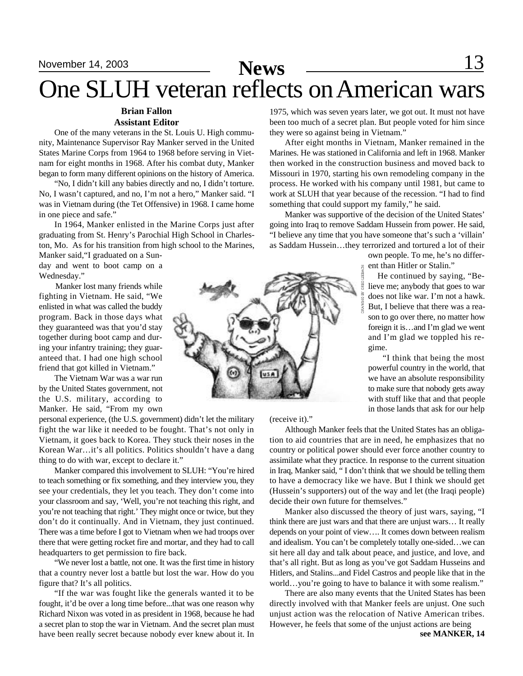## November 14, 2003 **News** 13 One SLUH veteran reflects on American wars

#### **Brian Fallon Assistant Editor**

One of the many veterans in the St. Louis U. High community, Maintenance Supervisor Ray Manker served in the United States Marine Corps from 1964 to 1968 before serving in Vietnam for eight months in 1968. After his combat duty, Manker began to form many different opinions on the history of America.

"No, I didn't kill any babies directly and no, I didn't torture. No, I wasn't captured, and no, I'm not a hero," Manker said. "I was in Vietnam during (the Tet Offensive) in 1968. I came home in one piece and safe."

In 1964, Manker enlisted in the Marine Corps just after graduating from St. Henry's Parochial High School in Charleston, Mo. As for his transition from high school to the Marines,

Manker said,"I graduated on a Sunday and went to boot camp on a Wednesday."

 Manker lost many friends while fighting in Vietnam. He said, "We enlisted in what was called the buddy program. Back in those days what they guaranteed was that you'd stay together during boot camp and during your infantry training; they guaranteed that. I had one high school friend that got killed in Vietnam."

The Vietnam War was a war run by the United States government, not the U.S. military, according to Manker. He said, "From my own

personal experience, (the U.S. government) didn't let the military fight the war like it needed to be fought. That's not only in Vietnam, it goes back to Korea. They stuck their noses in the Korean War…it's all politics. Politics shouldn't have a dang thing to do with war, except to declare it."

Manker compared this involvement to SLUH: "You're hired to teach something or fix something, and they interview you, they see your credentials, they let you teach. They don't come into your classroom and say, 'Well, you're not teaching this right, and you're not teaching that right.' They might once or twice, but they don't do it continually. And in Vietnam, they just continued. There was a time before I got to Vietnam when we had troops over there that were getting rocket fire and mortar, and they had to call headquarters to get permission to fire back.

"We never lost a battle, not one. It was the first time in history that a country never lost a battle but lost the war. How do you figure that? It's all politics.

"If the war was fought like the generals wanted it to be fought, it'd be over a long time before...that was one reason why Richard Nixon was voted in as president in 1968, because he had a secret plan to stop the war in Vietnam. And the secret plan must have been really secret because nobody ever knew about it. In

1975, which was seven years later, we got out. It must not have been too much of a secret plan. But people voted for him since they were so against being in Vietnam."

After eight months in Vietnam, Manker remained in the Marines. He was stationed in California and left in 1968. Manker then worked in the construction business and moved back to Missouri in 1970, starting his own remodeling company in the process. He worked with his company until 1981, but came to work at SLUH that year because of the recession. "I had to find something that could support my family," he said.

Manker was supportive of the decision of the United States' going into Iraq to remove Saddam Hussein from power. He said, "I believe any time that you have someone that's such a 'villain' as Saddam Hussein…they terrorized and tortured a lot of their

> own people. To me, he's no different than Hitler or Stalin."

 He continued by saying, "Believe me; anybody that goes to war does not like war. I'm not a hawk. But, I believe that there was a reason to go over there, no matter how foreign it is…and I'm glad we went and I'm glad we toppled his regime.

 "I think that being the most powerful country in the world, that we have an absolute responsibility to make sure that nobody gets away with stuff like that and that people in those lands that ask for our help



(receive it)."

Although Manker feels that the United States has an obligation to aid countries that are in need, he emphasizes that no country or political power should ever force another country to assimilate what they practice. In response to the current situation in Iraq, Manker said, " I don't think that we should be telling them to have a democracy like we have. But I think we should get (Hussein's supporters) out of the way and let (the Iraqi people) decide their own future for themselves."

Manker also discussed the theory of just wars, saying, "I think there are just wars and that there are unjust wars… It really depends on your point of view…. It comes down between realism and idealism. You can't be completely totally one-sided…we can sit here all day and talk about peace, and justice, and love, and that's all right. But as long as you've got Saddam Husseins and Hitlers, and Stalins...and Fidel Castros and people like that in the world…you're going to have to balance it with some realism."

There are also many events that the United States has been directly involved with that Manker feels are unjust. One such unjust action was the relocation of Native American tribes. However, he feels that some of the unjust actions are being